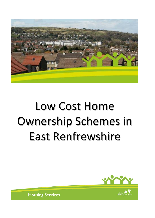

# Low Cost Home Ownership Schemes in East Renfrewshire



**Housing Services**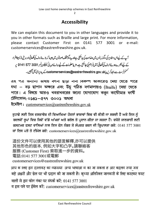# **Accessibility**

We can explain this document to you in other languages and provide it to you in other formats such as Braille and large print. For more information, please contact Customer First on 0141 577 3001 or e-mail: customerservices@eastrenfrewshire.gov.uk.

آپ کے لیےاس دستاویز کی دیگر زبانوں میں دضاحت کی جاسکتی ہےاور پید یگرمخلف صورتوں میں جیسا کہ بڑے حروف کی لکھائی اور بریل (نابیبناافراد کے لیے اُنجرےہوئے حروف کی لکھائی) میں فراہم کی جاسکتی ہے۔مزید معلومات کے لیے برائے مہربانی ٹیلیفون نمبر 3001 577 5141 پہ سٹم فرسٹ سے رابط کریں یا customerservices@eastrenfrewshire.gov.uk\_ کے پیدیرای میل بھیجیں۔

এ২ পত্র অন্যান্য ভাষায় বণনা ছাড়া নানা বিকল্প আকারেও দেয়া যেতে পারে যথা – বড় ছাপান অক্ষরে এবং উঁচু গঠিত বর্ণমালায়ও (Braille) দেয়া যেতে পারে। এ বিষয়ে আরও খবরাখবরের জন্যে যোগাযোগ করুন কাউৌমার ফর্ষি টেলিফোন: ০১৪১–৫৭৭ ৩০০১ অথবা

ইমেইল: customerservices@eastrenfrewshire.gov.uk

ਤੁਹਾਡੇ ਲਈ ਇਸ ਦਸਤਾਵੇਜ਼ ਦੀ ਵਿਆਖਿਆ ਹੋਰਨਾਂ ਭਾਸ਼ਾਵਾਂ ਵਿਚ ਵੀ ਕੀਤੀ ਜਾ ਸਕਦੀ ਹੈ ਅਤੇ ਇਸ ਨੂੰ ਬਦਲਵੇਂ ਰੂਪਾਂ ਵਿਚ ਜਿਵੇਂ ਵੱਡੇ ਅੱਖਰਾਂ ਅਤੇ ਬਰੇਲ ਤੇ ਪ੍ਰਦਾਨ ਕੀਤਾ ਜਾ ਸਕਦਾ ਹੈ। ਵਧੇਰੇ ਜਾਣਕਾਰੀ ਲਈ ਕਸਟਮਰ ਫਸਟ ਵਾਲਿਆਂ ਨਾਲ ਇਸ ਫੋਨ ਨੰਬਰ ਤੇ ਸੰਪਰਕ ਕਰਨ ਦੀ ਕ੍ਰਿਪਾਲਤਾ ਕਰੋ: 0141 577 3001 ਜਾਂ ਇਸ ਪਤੇ ਤੇ ਈਮੇਲ ਕਰੋ: customerservices@eastrenfrewshire.gov.uk

這份文件可以使用其他的語言解釋,亦可以提供 其他形色的版本, 例如大字和凸字。請聯絡客 服務 (Customer First) 索取進一步的資料。 電話:0141 577 3001或電郵 customerservices@eastrenfrewshire.gov.uk

आप क ालए इस दस्तावज़ का व्याख्या अन्य भाषाआ म का जा सकता ह आर बदलव रूपा जस बड़े अक्षरों और ब्रेल पर भी प्रदान की जा सकती है। कृप्या अतिरिक्त जानकारी के लिए कस्टमर फस्ट वालों से इस फोन नंबर पर संपर्क करें: 0141 577 3001 व इस पते पर ईमेल करें: customerservices@eastrenfrewshire.gov.uk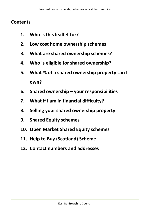## **Contents**

- **1. Who is this leaflet for?**
- **2. Low cost home ownership schemes**
- **3. What are shared ownership schemes?**
- **4. Who is eligible for shared ownership?**
- **5. What % of a shared ownership property can I own?**
- **6. Shared ownership – your responsibilities**
- **7. What if I am in financial difficulty?**
- **8. Selling your shared ownership property**
- **9. Shared Equity schemes**
- **10. Open Market Shared Equity schemes**
- **11. Help to Buy (Scotland) Scheme**
- **12. Contact numbers and addresses**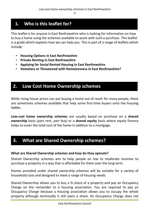# **1. Who is this leaflet for?**

This leaflet is for anyone in East Renfrewshire who is looking for information on how to buy a home using the schemes available to assist with such a purchase. This leaflet is a guide which explains how we can help you. This is part of a range of leaflets which include:

- **Housing Options in East Renfrewshire**
- **Private Renting in East Renfrewshire**
- **Applying for Social Rented Housing in East Renfrewshire**
- **Homeless or Threatened with Homelessness in East Renfrewshire?**

## **2. Low Cost Home Ownership schemes**

While rising house prices can put buying a home out of reach for many people, there are sometimes schemes available that help some first-time buyers onto the housing ladder.

**Low-cost home ownership schemes** are usually based on purchase on a **shared ownership** basis (part rent, part buy) or a **shared equity** basis where equity finance helps to cover the total cost of the home in addition to a mortgage.

## **3. What are Shared Ownership schemes?**

#### **What are Shared Ownership schemes and how do they operate?**

Shared Ownership schemes aim to help people on low to moderate incomes to purchase a property in a way that is affordable for them over the long term.

Homes provided under shared ownership schemes will be suitable for a variety of household sizes and designed to meet a range of housing needs.

Shared Ownership allows you to buy a % share of a property and pay an Occupancy Charge on the remainder to a housing association. You are required to pay an Occupancy Charge because a housing association allows you to occupy the whole property although technically it still owns a share. An Occupancy Charge does not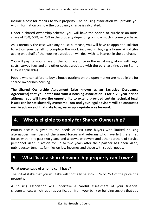include a cost for repairs to your property. The housing association will provide you with information on how the occupancy charge is calculated.

Under a shared ownership scheme, you will have the option to purchase an initial share of 25%, 50%, or 75% in the property depending on how much income you have.

As is normally the case with any house purchase, you will have to appoint a solicitor to act on your behalf to complete the work involved in buying a home. A solicitor acting on behalf of the housing association will deal with its interest in the purchase.

You will pay for your share of the purchase price in the usual way, along with legal costs, survey fees and any other costs associated with the purchase (including Stamp Duty if applicable).

People who can afford to buy a house outright on the open market are not eligible for shared ownership housing.

**The Shared Ownership Agreement (also known as an Exclusive Occupancy Agreement) that you enter into with a housing association is for a 20 year period although you will have the opportunity to extend provided certain technical legal issues can be satisfactorily overcome. You and your legal advisors will be contacted well in advance of that date to agree an appropriate way forward.** 

# **4. Who is eligible to apply for Shared Ownership?**

Priority access is given to the needs of first time buyers with limited housing alternatives, members of the armed forces and veterans who have left the armed forces within the past two years, and widows, widowers and other partners of service personnel killed in action for up to two years after their partner has been killed, public sector tenants, families on low incomes and those with special needs.

# **5. What % of a shared ownership property can I own?**

#### **What percentage of a home can I have?**

The initial stake that you will take will normally be 25%, 50% or 75% of the price of a property.

A housing association will undertake a careful assessment of your financial circumstances, which requires verification from your bank or building society that you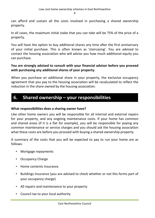can afford and sustain all the costs involved in purchasing a shared ownership property.

In all cases, the maximum initial stake that you can take will be 75% of the price of a property.

You will have the option to buy additional shares any time after the first anniversary of your initial purchase. This is often known as 'staircasing'. You are advised to contact the housing association who will advise you how much additional equity you can purchase.

#### **You are strongly advised to consult with your financial advisor before you proceed with purchasing any additional shares of your property.**

When you purchase an additional share in your property, the exclusive occupancy agreement that you pay to the housing association will be recalculated to reflect the reduction in the share owned by the housing association.

## **6. Shared ownership – your responsibilities**

#### **What responsibilities does a sharing owner have?**

Like other home owners you will be responsible for all internal and external repairs for your property, and any ongoing maintenance costs. If your home has common and shared areas (if it is a flat for example), you will be responsible for paying any common maintenance or service charges and you should ask the housing association what these costs are before you proceed with buying a shared ownership property.

A summary of the costs that you will be expected to pay to run your home are as follows:

- Mortgage repayments
- Occupancy Charge
- Home contents Insurance
- Buildings Insurance (you are advised to check whether or not this forms part of your occupancy charge)
- All repairs and maintenance to your property
- Council tax to your local authority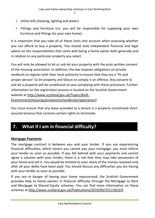- Utility bills (heating, lighting and water)
- Fittings and furniture (i.e. you will be responsible for supplying your own furniture and fittings for your own home).

It is important that you take all of these costs into account when assessing whether you can afford to buy a property. You should seek independent financial and legal advice on the responsibilities that come with being a home owner both generally and in relation to any particular property you select.

You will only be allowed to let or sub-let your property with the prior written consent of the housing association. In addition, the law imposes obligations on private landlords to register with their local authority to ensure that they are a "fit and proper person" to let property and failure to comply is an offence. Any consent to sub-let a property will be conditional on you complying with these provisions. Further information on the registration process is located on the Scottish Government website at http://www.scotland.gov.uk/Topics/Built-Environment/Housing/privaterent/landlords/registration).

You must ensure that any lease provided to a tenant is a properly constituted shortassured tenancy that contains certain rights to terminate.

# **7. What if I am in financial difficulty?**

#### **Mortgage Payments**

The mortgage contract is between you and your lender. If you are experiencing financial difficulties, which means you cannot pay your mortgage; you must inform your lender as soon as possible. If you fall behind with your payments and cannot agree a solution with your lender, there is a risk that they may take possession of your home and sell it. You would be entitled to your share of the money received only after all your debts have been paid. You should discuss any difficulties you are having with your lender as soon as possible.

If you are in danger of having your home repossessed, the Scottish Government provides help to home owners in financial difficulty through the Mortgage to Rent and Mortgage to Shared Equity schemes. You can find more information on these schemes at http://www.scotland.gov.uk/Publications/2010/06/23115823/0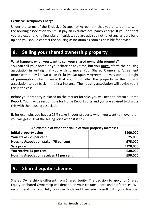#### **Exclusive Occupancy Charge**

Under the terms of the Exclusive Occupancy Agreement that you entered into with the housing association you must pay an exclusive occupancy charge. If you find that you are experiencing financial difficulties, you are advised not to let any arrears build up and you should contact the housing association as soon as possible for advice.

## **8. Selling your shared ownership property**

#### **What happens when you want to sell your shared ownership property?**

You can sell your home or your share at any time, but you **must** inform the housing association in writing that you wish to move. Your Shared Ownership Agreement (more commonly known as an Exclusive Occupancy Agreement) may contain a right of pre-emption which means that you must offer the property to the housing association to buy back in the first instance. The housing association will advise you if this is the case.

Before your property is placed on the market for sale, you will need to obtain a Home Report. You may be responsible for Home Report costs and you are advised to discuss this with the housing association.

If, for example, you have a 25% stake in your property when you want to move, then you will get 25% of the selling price when it is sold.

| An example of when the value of your property increases |          |  |
|---------------------------------------------------------|----------|--|
| Initial property value                                  | £100,000 |  |
| Your stake - 25 per cent                                | £25,000  |  |
| Housing Association stake - 75 per cent                 | £75,000  |  |
| Sale price                                              | £120,000 |  |
| You receive 25 per cent                                 | £30,000  |  |
| <b>Housing Association receives 75 per cent</b>         | £90,000  |  |

## **9. Shared equity schemes**

Shared Ownership is different from Shared Equity. The decision to apply for Shared Equity or Shared Ownership will depend on your circumstances and preferences. We recommend that you fully consider both and then you consult with your financial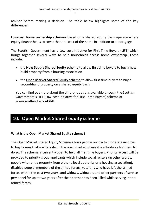advisor before making a decision. The table below highlights some of the key differences:

**Low-cost home ownership schemes** based on a shared equity basis operate where equity finance helps to cover the total cost of the home in addition to a mortgage.

The Scottish Government has a Low-cost Initiative for First Time Buyers (LIFT) which brings together several ways to help households access home ownership. These include:

- the **[New Supply Shared Equity scheme](http://www.scotland.gov.uk/Topics/Built-Environment/Housing/BuyingSelling/lift/FTBNSSES)** to allow first time buyers to buy a new build property from a housing association
- the **[Open Market Shared Equity scheme](http://www.scotland.gov.uk/Topics/Built-Environment/Housing/BuyingSelling/lift/FTBOMSEP)** to allow first time buyers to buy a second-hand property on a shared equity basis

You can find out more about the different options available through the Scottish Government's LIFT (Low-cost Initiative for First –time Buyers) scheme at **[www.scotland.gov.uk/lift](http://www.scotland.gov.uk/lift)**

# **10. Open Market Shared equity scheme**

#### **What is the Open Market Shared Equity scheme?**

The Open Market Shared Equity Scheme allows people on low to moderate incomes to buy homes that are for sale on the open market where it is affordable for them to do so. The scheme is currently open to help all first time buyers. Priority access will be provided to priority group applicants which include social renters (in other words, people who rent a property from either a local authority or a housing association), disabled people, members of the armed forces, veterans who have left the armed forces within the past two years, and widows, widowers and other partners of service personnel for up to two years after their partner has been killed while serving in the armed forces.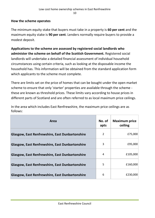#### **How the scheme operates**

The minimum equity stake that buyers must take in a property is **60 per cent** and the maximum equity stake is **90 per cent**. Lenders normally require buyers to provide a modest deposit.

**Applications to the scheme are assessed by registered social landlords who administer the scheme on behalf of the Scottish Government.** Registered social landlords will undertake a detailed financial assessment of individual household circumstances using certain criteria, such as looking at the disposable income the household has. This information will be obtained from the standard application form which applicants to the scheme must complete.

There are limits set on the price of homes that can be bought under the open market scheme to ensure that only 'starter' properties are available through the scheme these are known as threshold prices. These limits vary according to house prices in different parts of Scotland and are often referred to as local maximum price ceilings.

In the area which includes East Renfrewshire, the maximum price ceilings are as follows:

| Area                                                   | No. of<br>apts | <b>Maximum price</b><br>ceiling |
|--------------------------------------------------------|----------------|---------------------------------|
| <b>Glasgow, East Renfrewshire, East Dunbartonshire</b> | 2              | £75,000                         |
| <b>Glasgow, East Renfrewshire, East Dunbartonshire</b> | 3              | £95,000                         |
| <b>Glasgow, East Renfrewshire, East Dunbartonshire</b> | 4              | £105,000                        |
| <b>Glasgow, East Renfrewshire, East Dunbartonshire</b> | 5              | £160,000                        |
| <b>Glasgow, East Renfrewshire, East Dunbartonshire</b> | 6              | £230,000                        |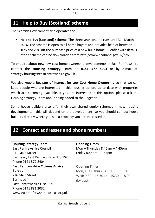# **11. Help to Buy (Scotland) scheme**

The Scottish Government also operates the

**Help to Buy (Scotland) scheme**. The three year scheme runs until 31<sup>st</sup> March 2016. The scheme is open to all home buyers and provides help of between 10% and 20% off the purchase price of a new build home. A leaflet with details of the scheme can be downloaded from http://www.scotland.gov.uk/htb

To enquire about new low cost home ownership developments in East Renfrewshire contact the **Housing Strategy Team** on **0141 577 8404** or by e-mail at: [strategy.housing@eastrenfrewshire.gov.uk.](mailto:strategy.housing@eastrenfrewshire.gov.uk)

We also keep a **Register of Interest for Low Cost Home Ownership** so that we can keep people who are interested in this housing option, up to date with properties which are becoming available. If you are interested in this option, please ask the Housing Strategy Team about being added to the Register.

Some house builders also offer their own shared equity schemes in new housing developments - this will depend on the development, so you should contact house builders directly where you see a property you are interested in.

## **12. Contact addresses and phone numbers**

| <b>Housing Strategy Team</b><br><b>East Renfrewshire Council</b><br>211 Main Street<br>Barrhead, East Renfrewshire G78 1SY<br>Phone 0141 577 8404   | <b>Opening Times</b><br>Mon $-$ Thursday 8.45am $-$ 4.45pm<br>Friday $8.45$ pm $-3.55$ pm                              |
|-----------------------------------------------------------------------------------------------------------------------------------------------------|------------------------------------------------------------------------------------------------------------------------|
| <b>East Renfrewshire Citizens Advice</b><br><b>Bureau</b><br>216 Main Street<br><b>Barrhead</b><br>East Renfrewshire G78 1SN<br>Phone 0141 881 2032 | <b>Opening Times</b><br>Mon, Tues, Thurs, Fri: 9.30 - 15.30<br>Wed: $9.30 - 15.30$ and $15.30 - 18.00$<br>$(by$ appt.) |
| www.eastrenfrewshirecab.cas.org.uk                                                                                                                  |                                                                                                                        |